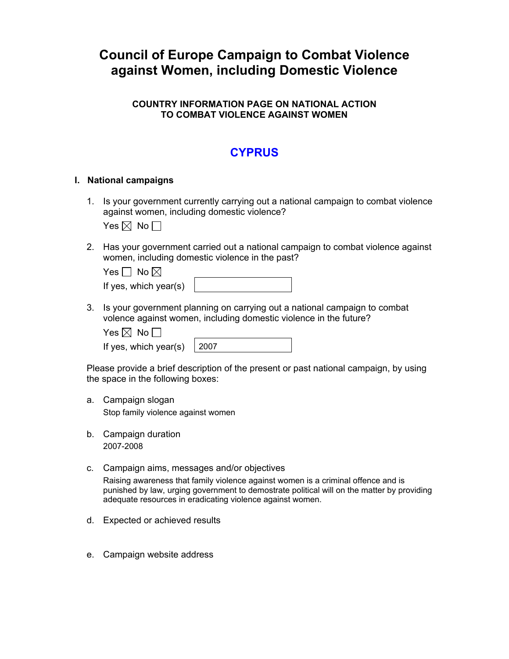# **Council of Europe Campaign to Combat Violence against Women, including Domestic Violence**

### **COUNTRY INFORMATION PAGE ON NATIONAL ACTION TO COMBAT VIOLENCE AGAINST WOMEN**

## **CYPRUS**

#### **I. National campaigns**

1. Is your government currently carrying out a national campaign to combat violence against women, including domestic violence?

Yes  $\boxtimes$  No  $\Box$ 

2. Has your government carried out a national campaign to combat violence against women, including domestic violence in the past?

| Yes $\Box$ No $\boxtimes$ |  |
|---------------------------|--|
| If yes, which year(s)     |  |

3. Is your government planning on carrying out a national campaign to combat volence against women, including domestic violence in the future?

| es $\mathbb{X}$ | N٥ |  |
|-----------------|----|--|
|-----------------|----|--|

If yes, which year(s)  $\vert$  2007

Please provide a brief description of the present or past national campaign, by using the space in the following boxes:

a. Campaign slogan

Stop family violence against women

- b. Campaign duration 2007-2008
- c. Campaign aims, messages and/or objectives

Raising awareness that family violence against women is a criminal offence and is punished by law, urging government to demostrate political will on the matter by providing adequate resources in eradicating violence against women.

- d. Expected or achieved results
- e. Campaign website address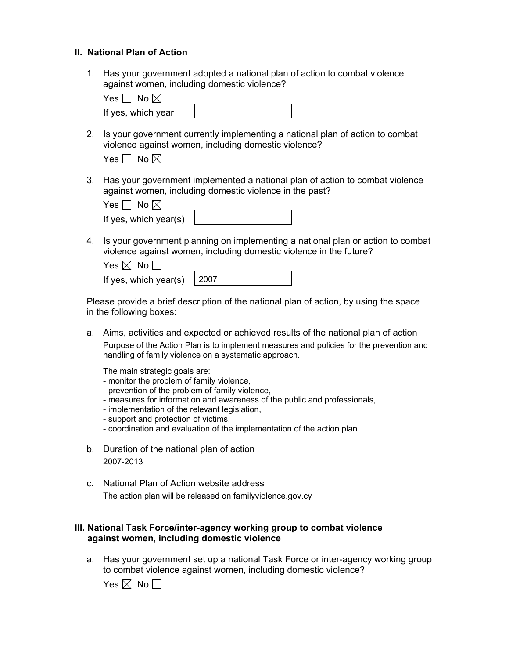#### **II. National Plan of Action**

1. Has your government adopted a national plan of action to combat violence against women, including domestic violence?

| $\bullet$<br>′es I<br>Nc<br>. .<br>- |  |
|--------------------------------------|--|
|                                      |  |

2. Is your government currently implementing a national plan of action to combat violence against women, including domestic violence?

|  | No $\boxtimes$ |  |
|--|----------------|--|
|--|----------------|--|

If yes, which year

3. Has your government implemented a national plan of action to combat violence against women, including domestic violence in the past?

| Yes $\Box$ No $\boxtimes$ |  |
|---------------------------|--|
| If yes, which year(s)     |  |

4. Is your government planning on implementing a national plan or action to combat violence against women, including domestic violence in the future?

| Yes $\boxtimes$ No $\Box$          |  |
|------------------------------------|--|
| If yes, which year(s) $\vert$ 2007 |  |

Please provide a brief description of the national plan of action, by using the space in the following boxes:

a. Aims, activities and expected or achieved results of the national plan of action Purpose of the Action Plan is to implement measures and policies for the prevention and handling of family violence on a systematic approach.

The main strategic goals are:

- monitor the problem of family violence,
- prevention of the problem of family violence,
- measures for information and awareness of the public and professionals,
- implementation of the relevant legislation,
- support and protection of victims,
- coordination and evaluation of the implementation of the action plan.
- b. Duration of the national plan of action 2007-2013
- c. National Plan of Action website address The action plan will be released on familyviolence.gov.cy

### **III. National Task Force/inter-agency working group to combat violence against women, including domestic violence**

a. Has your government set up a national Task Force or inter-agency working group to combat violence against women, including domestic violence?

Yes  $\boxtimes$  No  $\Box$